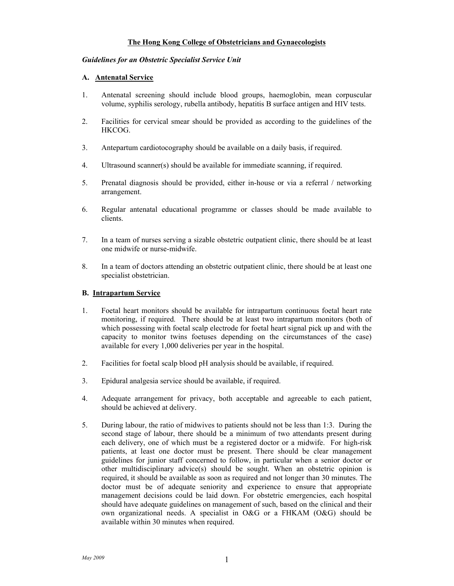# **The Hong Kong College of Obstetricians and Gynaecologists**

#### *Guidelines for an Obstetric Specialist Service Unit*

### **A. Antenatal Service**

- 1. Antenatal screening should include blood groups, haemoglobin, mean corpuscular volume, syphilis serology, rubella antibody, hepatitis B surface antigen and HIV tests.
- 2. Facilities for cervical smear should be provided as according to the guidelines of the HKCOG.
- 3. Antepartum cardiotocography should be available on a daily basis, if required.
- 4. Ultrasound scanner(s) should be available for immediate scanning, if required.
- 5. Prenatal diagnosis should be provided, either in-house or via a referral / networking arrangement.
- 6. Regular antenatal educational programme or classes should be made available to clients.
- 7. In a team of nurses serving a sizable obstetric outpatient clinic, there should be at least one midwife or nurse-midwife.
- 8. In a team of doctors attending an obstetric outpatient clinic, there should be at least one specialist obstetrician.

#### **B. Intrapartum Service**

- 1. Foetal heart monitors should be available for intrapartum continuous foetal heart rate monitoring, if required. There should be at least two intrapartum monitors (both of which possessing with foetal scalp electrode for foetal heart signal pick up and with the capacity to monitor twins foetuses depending on the circumstances of the case) available for every 1,000 deliveries per year in the hospital.
- 2. Facilities for foetal scalp blood pH analysis should be available, if required.
- 3. Epidural analgesia service should be available, if required.
- 4. Adequate arrangement for privacy, both acceptable and agreeable to each patient, should be achieved at delivery.
- 5. During labour, the ratio of midwives to patients should not be less than 1:3. During the second stage of labour, there should be a minimum of two attendants present during each delivery, one of which must be a registered doctor or a midwife. For high-risk patients, at least one doctor must be present. There should be clear management guidelines for junior staff concerned to follow, in particular when a senior doctor or other multidisciplinary advice(s) should be sought. When an obstetric opinion is required, it should be available as soon as required and not longer than 30 minutes. The doctor must be of adequate seniority and experience to ensure that appropriate management decisions could be laid down. For obstetric emergencies, each hospital should have adequate guidelines on management of such, based on the clinical and their own organizational needs. A specialist in O&G or a FHKAM (O&G) should be available within 30 minutes when required.